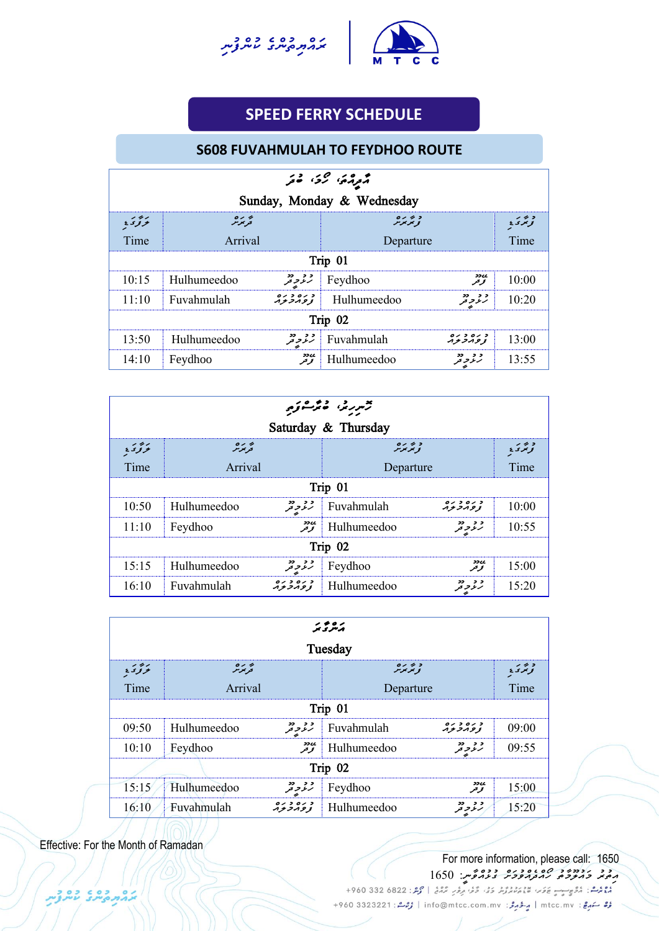



## **SPEED FERRY SCHEDULE**

#### **UNCH SCHEDULER S608 FUVAHMULAH TO FEYDHOO ROUTE**

| موړي رئ فو |                                                                 |        |                           |                     |       |  |  |  |
|------------|-----------------------------------------------------------------|--------|---------------------------|---------------------|-------|--|--|--|
|            | Sunday, Monday & Wednesday                                      |        |                           |                     |       |  |  |  |
| بزود       | په ره<br>تربرنر<br>د بر بره<br>نو پر بر بر<br>د تر تر ٤         |        |                           |                     |       |  |  |  |
| Time       | Arrival<br>Departure                                            |        |                           |                     | Time  |  |  |  |
|            |                                                                 |        | Trip 01                   |                     |       |  |  |  |
| 10:15      | Hulhumeedoo                                                     | د د دد | Feydhoo                   | ی وو<br>تخریخر      | 10:00 |  |  |  |
| 11:10      | Fuvahmulah                                                      |        | Hulhumeedoo               | و و دو<br>رنو په تو | 10:20 |  |  |  |
|            | Trip 02                                                         |        |                           |                     |       |  |  |  |
| 13:50      | 0000000<br>لمحروفر Fuvahmulah<br>Hulhumeedoo<br>13:00<br>ハナフハタヌ |        |                           |                     |       |  |  |  |
| 14:10      | Feydhoo                                                         |        | $\mathcal{F}$ Hulhumeedoo | و د دو              | 13:55 |  |  |  |

| ترمر برند، فأعمرت وكبير                                                    |                                 |                    |                           |                      |                      |  |
|----------------------------------------------------------------------------|---------------------------------|--------------------|---------------------------|----------------------|----------------------|--|
| Saturday & Thursday                                                        |                                 |                    |                           |                      |                      |  |
| برودي                                                                      | پر بر ہ<br>قریمز <sub>م</sub> ر |                    | د بر بره<br>نو پر بر بر   |                      | د بر ر<br>تو تر د با |  |
| Time                                                                       | Arrival                         |                    | Departure                 |                      | Time                 |  |
|                                                                            | Trip 01                         |                    |                           |                      |                      |  |
| 10:50                                                                      | Hulhumeedoo                     | و و دو<br>رنو و تو | Fuvahmulah                | د ره د ره<br>زومرترم | 10:00                |  |
| 11:10                                                                      | Feydhoo                         |                    | $\mathcal{F}$ Hulhumeedoo | و و دو<br>رنو و تو   | 10:55                |  |
| Trip 02                                                                    |                                 |                    |                           |                      |                      |  |
| <b>sscc</b><br>و د دد<br>15:15<br>15:00<br>Hulhumeedoo<br>Feydhoo<br>توتحر |                                 |                    |                           |                      |                      |  |
| 16:10                                                                      | Fuvahmulah                      |                    | Hulhumeedoo               | و و دو<br>رنو و تو   | 15:20                |  |

| ر ه و ر<br>مرگ<br>Tuesday |                                                                           |                      |             |                      |       |  |  |  |
|---------------------------|---------------------------------------------------------------------------|----------------------|-------------|----------------------|-------|--|--|--|
| برودي                     | و تر بره<br>و تر بر تر<br>پر بر ہ<br>قریمز مر<br>د بر ر<br>نو ټر ی        |                      |             |                      |       |  |  |  |
| Time                      | Arrival<br>Departure                                                      |                      |             |                      | Time  |  |  |  |
|                           | Trip 01                                                                   |                      |             |                      |       |  |  |  |
| 09:50                     | Hulhumeedoo                                                               | و و دو<br>رنو و تو   | Fuvahmulah  | د ره د ره<br>زومرتزم | 09:00 |  |  |  |
| 10:10                     | Feydhoo                                                                   | ی دو<br>تو تو        | Hulhumeedoo | د د دد               | 09:55 |  |  |  |
| Trip 02                   |                                                                           |                      |             |                      |       |  |  |  |
| 15:15                     | ی وو<br>تخریخر<br>و و دو<br>رنگو تو تو<br>Hulhumeedoo<br>15:00<br>Feydhoo |                      |             |                      |       |  |  |  |
| 16:10                     | Fuvahmulah                                                                | د ره د ره<br>زومربرم | Hulhumeedoo | و و دو<br>رنگر تر    | 15:20 |  |  |  |

Effective: For the Month of Ramadan

ההתפתל עתלת

#### For more information, please call: 1650 <del>ﻣ</del>ِﻣَﻴَﺪ ﺧَﻣُﺘُّﺮَﺧَّﻢَ ﻛُﻤُ<del>َّﺮَﻣَُّّﻣُ ﻛُﻣُّﺮِّ ﻛُّﻛُّﺪُ ﻛُﻣُّﺮِّ ﻣَ</del>

رُرُّ سَهرِجْ: mtcc.mv | مِرْدُ جَرَمْرُ: info@mtcc.com.mv | رُحِمْ : 4960 3323221 +960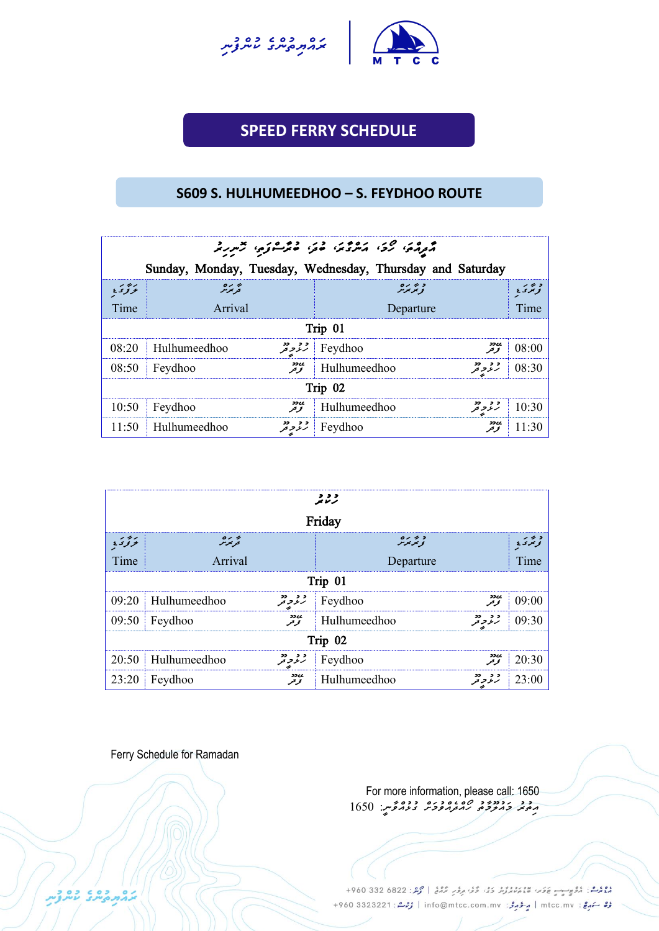



## **SPEED FERRY SCHEDULE**

UNCH SCHEDULE

#### **S609 S. HULHUMEEDHOO – S. FEYDHOO ROUTE**

| مومده، کرد، مترومه، مدر، مترکوبه، مسررمه |                                     |                                                           |                    |  |  |  |
|------------------------------------------|-------------------------------------|-----------------------------------------------------------|--------------------|--|--|--|
|                                          |                                     | Sunday, Monday, Tuesday, Wednesday, Thursday and Saturday |                    |  |  |  |
| بزودي                                    | پر رہ<br>قریمز <sub>م</sub> ر       | د پر پره<br>نومبرس                                        | د بر ر<br>تونگرۍ ځ |  |  |  |
| Time                                     | Arrival                             | Departure                                                 | Time               |  |  |  |
|                                          |                                     | Trip 01                                                   |                    |  |  |  |
| 08:20                                    | $\parallel$ Hulhumeedhoo            | ري دو<br>تو تر<br>$\mathcal{E}$ Feydhoo                   | 08:00              |  |  |  |
| 08:50                                    | ی دو<br>تو تر<br>Feydhoo            | و و دو<br>رنمو د تو<br>$\parallel$ Hulhumeedhoo           | 08:30              |  |  |  |
| Trip $02$                                |                                     |                                                           |                    |  |  |  |
| 10:50                                    | ی دو<br>تو تو<br>Feydhoo            | و و دو<br>رنرو تو<br>Hulhumeedhoo                         | 10:30              |  |  |  |
| 11:50                                    | و د دد.<br>رنر د تر<br>Hulhumeedhoo | ی وو<br>تخریخر<br>Feydhoo                                 | 11:30              |  |  |  |

|         | ,,,<br>ترموجر                                                    |                |                       |                    |        |  |  |
|---------|------------------------------------------------------------------|----------------|-----------------------|--------------------|--------|--|--|
|         |                                                                  |                | Friday                |                    |        |  |  |
| بزود    | 0122<br>په ره<br>تربر ر<br>د ۱۶۶۶<br>نوبگرۍ <u>د</u><br>و بو بوس |                |                       |                    |        |  |  |
| Time    | Arrival                                                          | Departure      |                       | Time               |        |  |  |
|         |                                                                  |                | Trip 01               |                    |        |  |  |
|         | $09:20$ Hulhumeedhoo                                             |                | $\mathcal{L}$ Feydhoo | ی وو<br>تو تو      | 09:00  |  |  |
|         | $09:50$ Feydhoo                                                  | ی دو<br>تخریخر | Hulhumeedhoo          | و و دو<br>رنرو تو  | 109:30 |  |  |
| Trip 02 |                                                                  |                |                       |                    |        |  |  |
|         | Feydhoo<br>ردو<br>تونو<br>$20:50$ Hulhumeedhoo<br>20:30          |                |                       |                    |        |  |  |
|         | $23:20$ Feydhoo                                                  | يىدد<br>توتىر  | Hulhumeedhoo          | و و دو<br>رنر و تر | 23:00  |  |  |

Ferry Schedule for Ramadan

גם כם כם כ

For more information, please call: 1650 <del>ﻣ</del>ُﻣِﺪ ﺗَﻣِﻣِﻳُّ ﻣَﻣِﻣُّﺮُ ﻣُّﻮ ﻣُّﺮِﻣُّﺮُ ﻣُّﺮِﻳُّ 1650 165

موم<br>موم المركز: المركب الموسي المستقرر المركز المركز المركز في المحمد المحمد بن المحمد المحمد المحمد المحمد المحمد رُرُّ سَهرِجْ: mtcc.mv | مِرْدُ جَرَمْرُ: info@mtcc.com.mv | رُحِمْ : 4960 3323221 +960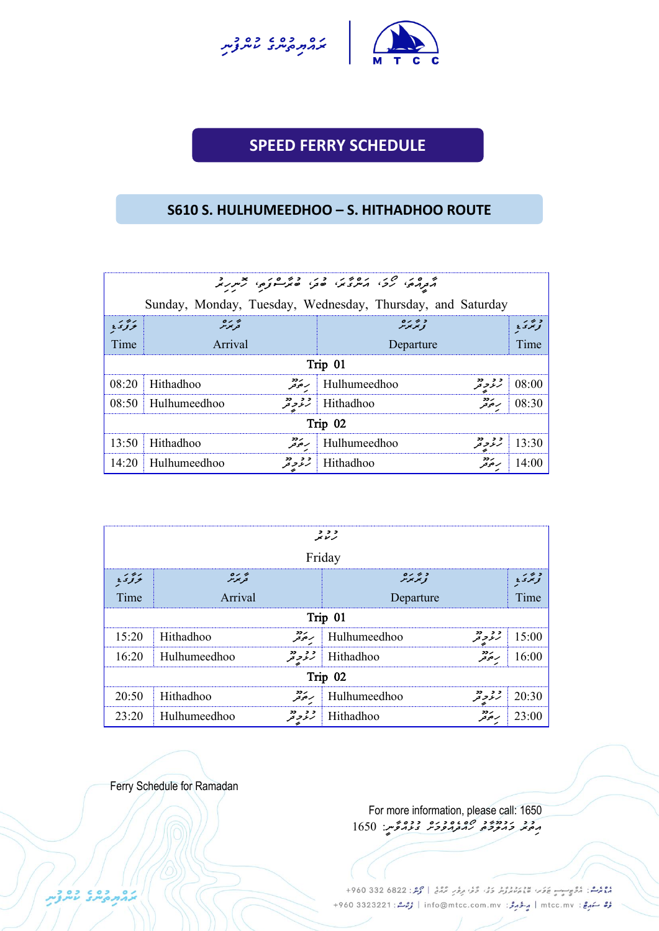



## **SPEED FERRY SCHEDULE**

UNCH SCHEDULE

#### **S610 S. HULHUMEEDHOO – S. HITHADHOO ROUTE**

| م ده در مرد ده در در دوره در در د |                                                            |                                  |                     |  |  |  |  |  |
|-----------------------------------|------------------------------------------------------------|----------------------------------|---------------------|--|--|--|--|--|
|                                   | Sunday, Monday, Tuesday, Wednesday, Thursday, and Saturday |                                  |                     |  |  |  |  |  |
| بزور                              | په ره<br>قریمزمر                                           | و پۇيرە                          | د بر ر<br>تونتری پا |  |  |  |  |  |
| Time                              | Arrival                                                    | Departure                        | Time                |  |  |  |  |  |
|                                   |                                                            | Trip 01                          |                     |  |  |  |  |  |
| 08:20                             | ر دد<br>ر حر تر<br>Hithadhoo                               | و د دو<br>Hulhumeedhoo           | 08:00               |  |  |  |  |  |
| 08:50                             | و و دو<br>رنمر تر<br>Hulhumeedhoo                          | ر دد<br>ر حوفر<br>Hithadhoo      | 08:30               |  |  |  |  |  |
|                                   | Trip 02                                                    |                                  |                     |  |  |  |  |  |
| 13:50                             | ر دد<br>برخو تو<br>Hithadhoo                               | د د دد<br>رنر په<br>Hulhumeedhoo | 13:30               |  |  |  |  |  |
| 14:20                             | و د دو<br>Hulhumeedhoo                                     | ر دد<br>ر حوتر<br>Hithadhoo      | 14:00               |  |  |  |  |  |

| , , ,<br>رىرىر                                                                         |                      |                      |                  |                   |       |  |  |
|----------------------------------------------------------------------------------------|----------------------|----------------------|------------------|-------------------|-------|--|--|
|                                                                                        |                      |                      | Friday           |                   |       |  |  |
| د عربره<br>نو تر <sub>م</sub> ر تر<br>د بر ر<br>نو ټر ی ځ<br>ئۆتى:<br>په ره<br>قریمزمر |                      |                      |                  |                   |       |  |  |
| Time                                                                                   | Arrival<br>Departure |                      |                  |                   | Time  |  |  |
|                                                                                        | Trip 01              |                      |                  |                   |       |  |  |
| 15:20                                                                                  | Hithadhoo            | ر دو<br>مرڪز قر      | Hulhumeedhoo     | و د دو<br>رنگوچر  | 15:00 |  |  |
| 16:20                                                                                  | Hulhumeedhoo         | و و دو<br>رنگو تو تو | <b>Hithadhoo</b> | ر دد<br>ر حر تر   | 16:00 |  |  |
| Trip 02                                                                                |                      |                      |                  |                   |       |  |  |
| 20:50                                                                                  | Hithadhoo            | ردد<br>رموتر         | Hulhumeedhoo     | و و دو<br>رنرو تر | 20:30 |  |  |
| 23:20                                                                                  | Hulhumeedhoo         | و و دو<br>رنمر تر    | Hithadhoo        | ر دد<br>ر حوفر    | 23:00 |  |  |

Ferry Schedule for Ramadan

For more information, please call: 1650 *އ ތުރު މައުލ މާތު ހޯއްދެއްވުމަށް ގުޅުއްވާނ:ީ 1650*

وووس، مُرُوسِيِّ عَامَةٍ، مَدْيَرُ دَرُّ، مَنْ مَرَّ مِنْ مِرْمَةٍ | مُرْمَدُ: 822 682 960+ مُرُّ سَهرِجٌ : mtcc.mv | مِرْدُ مِرْدُ : info@mtcc.com.mv | مُرْحَدٌ : 4960 3323221 +960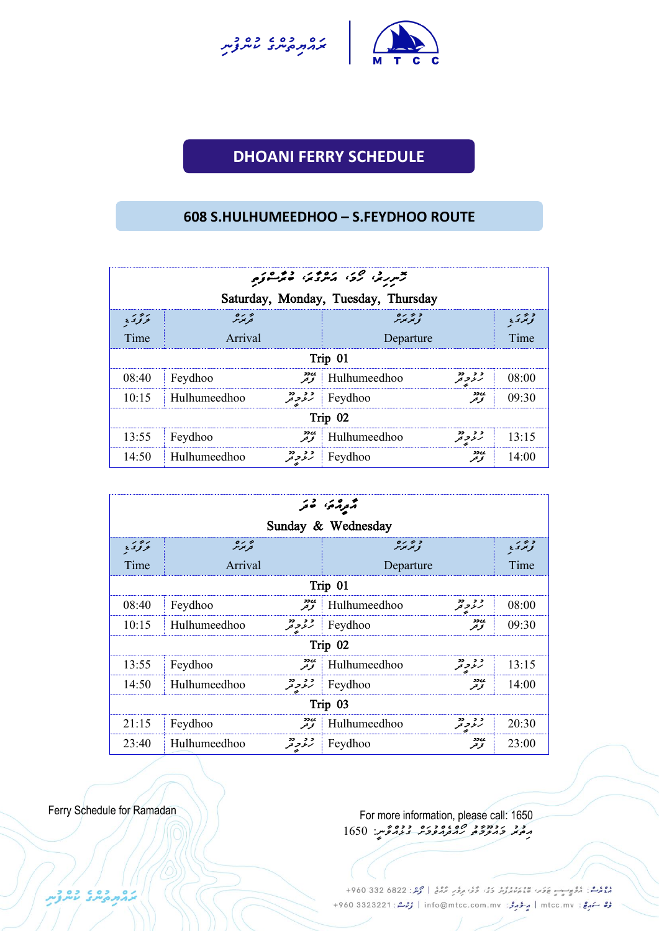



# **DHOANI FERRY SCHEDULE UNCH SCHEDULE**

#### **608 S.HULHUMEEDHOO – S.FEYDHOO ROUTE**

| ترمريز، ركز، معرفين فيركسونو                                               |                                     |                                            |                     |                                      |  |  |  |  |
|----------------------------------------------------------------------------|-------------------------------------|--------------------------------------------|---------------------|--------------------------------------|--|--|--|--|
|                                                                            | Saturday, Monday, Tuesday, Thursday |                                            |                     |                                      |  |  |  |  |
| برور                                                                       | $0<\theta$<br>فرموش                 | 0122<br>ويويوس                             |                     | $\overline{\phantom{a}}$<br>تويخرى ع |  |  |  |  |
| Time                                                                       | Arrival                             | Departure                                  |                     | Time                                 |  |  |  |  |
|                                                                            |                                     | Trip 01                                    |                     |                                      |  |  |  |  |
| 08:40                                                                      | Feydhoo                             | $\mathbb{R}^{\bullet\bullet}$ Hulhumeedhoo | وو دد               | 08:00                                |  |  |  |  |
| 10:15                                                                      | <b>Hulhumeedhoo</b>                 | $\mathcal{F}$ Feydhoo                      | <b>22CC</b><br>توكر | 09.30                                |  |  |  |  |
| Trip 02                                                                    |                                     |                                            |                     |                                      |  |  |  |  |
| ے تا 37 کلی<br>کل کر<br>وو دد<br>Hulhumeedhoo<br>13:15<br>13:55<br>Feydhoo |                                     |                                            |                     |                                      |  |  |  |  |
| 14:50                                                                      | و و دو<br>رنگو د قر<br>Hulhumeedhoo | Feydhoo                                    | me<br>توقو          | 14:00                                |  |  |  |  |

| گرگرگری قور        |                                           |                        |                      |                   |  |  |  |
|--------------------|-------------------------------------------|------------------------|----------------------|-------------------|--|--|--|
| Sunday & Wednesday |                                           |                        |                      |                   |  |  |  |
| برودي              | په ره<br>د پرس                            | د عربره<br>نو تر سر سر |                      | د برر<br>تونگرۍ ځ |  |  |  |
| Time               | Arrival                                   | Departure              |                      | Time              |  |  |  |
|                    | Trip 01                                   |                        |                      |                   |  |  |  |
| 08:40              | ردود<br>تو در<br>Feydhoo                  | Hulhumeedhoo           | و و دو<br>رنگو تو تو | 08:00             |  |  |  |
| 10:15              | Hulhumeedhoo                              | $\mathcal{E}$ Feydhoo  | <b>ssee</b><br>توحر  | 09:30             |  |  |  |
|                    |                                           | Trip 02                |                      |                   |  |  |  |
| 13:55              | ی دو<br>تو تر<br>Feydhoo                  | Hulhumeedhoo           | د د دد<br>رنز تر تر  | 13:15             |  |  |  |
| 14:50              | Hulhumeedhoo                              | $\mathcal{F}$ Feydhoo  | ی وو<br>تخریخر       | 14:00             |  |  |  |
| Trip 03            |                                           |                        |                      |                   |  |  |  |
| 21:15              | ی دو<br>تو تر<br>Feydhoo                  | Hulhumeedhoo           | د د دد<br>رنز په     | 20:30             |  |  |  |
| 23:40              | و و دو<br>رنۇ <i>و</i> تر<br>Hulhumeedhoo | Feydhoo                | ઝ્ટલ<br>توحر         | 23:00             |  |  |  |

CO CODON

Ferry Schedule for Ramadan For more information, please call: 1650 *އ ތ ރ މައ ލޫމާތ ހޯއްދެއްވ މަށް ގ ޅ އްވާނ:ީ 1650*

> دوم شا: دُوْمٍ جِسِمٍ عَلَمَ، مَعْ مِسْرُدُ دَوْ، دُوْ، دِمْرَ، مُرْدُ، حَمَّدُ 22 330 4960 + رُبْعُ سَهِعْ: mtcc.mv | مِ-تَهْرِمْ: info@mtcc.com.mv | رُبْعُ: 4960 3323221 +960